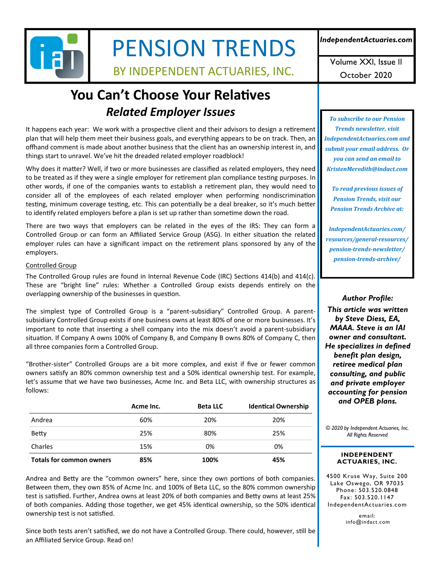

# PENSION TRENDS

BY INDEPENDENT ACTUARIES, INC.

*IndependentActuaries.com* 

Volume XXI, Issue II October 2020

# **You Can't Choose Your Relatives** *Related Employer Issues*

It happens each year: We work with a prospective client and their advisors to design a retirement plan that will help them meet their business goals, and everything appears to be on track. Then, an offhand comment is made about another business that the client has an ownership interest in, and things start to unravel. We've hit the dreaded related employer roadblock!

Why does it matter? Well, if two or more businesses are classified as related employers, they need to be treated as if they were a single employer for retirement plan compliance testing purposes. In other words, if one of the companies wants to establish a retirement plan, they would need to consider all of the employees of each related employer when performing nondiscrimination testing, minimum coverage testing, etc. This can potentially be a deal breaker, so it's much better to identify related employers before a plan is set up rather than sometime down the road.

There are two ways that employers can be related in the eyes of the IRS: They can form a Controlled Group or can form an Affiliated Service Group (ASG). In either situation the related employer rules can have a significant impact on the retirement plans sponsored by any of the employers.

### Controlled Group

The Controlled Group rules are found in Internal Revenue Code (IRC) Sections 414(b) and 414(c). These are "bright line" rules: Whether a Controlled Group exists depends entirely on the overlapping ownership of the businesses in question.

The simplest type of Controlled Group is a "parent‐subsidiary" Controlled Group. A parent‐ subsidiary Controlled Group exists if one business owns at least 80% of one or more businesses. It's important to note that inserting a shell company into the mix doesn't avoid a parent-subsidiary situation. If Company A owns 100% of Company B, and Company B owns 80% of Company C, then all three companies form a Controlled Group.

"Brother‐sister" Controlled Groups are a bit more complex, and exist if five or fewer common owners satisfy an 80% common ownership test and a 50% identical ownership test. For example, let's assume that we have two businesses, Acme Inc. and Beta LLC, with ownership structures as follows:

|                                 | Acme Inc. | <b>Beta LLC</b> | <b>Identical Ownership</b> |
|---------------------------------|-----------|-----------------|----------------------------|
| Andrea                          | 60%       | 20%             | 20%                        |
| Betty                           | 25%       | 80%             | 25%                        |
| Charles                         | 15%       | 0%              | 0%                         |
| <b>Totals for common owners</b> | 85%       | 100%            | 45%                        |

Andrea and Betty are the "common owners" here, since they own portions of both companies. Between them, they own 85% of Acme Inc. and 100% of Beta LLC, so the 80% common ownership test is satisfied. Further, Andrea owns at least 20% of both companies and Betty owns at least 25% of both companies. Adding those together, we get 45% identical ownership, so the 50% identical ownership test is not satisfied.

Since both tests aren't satisfied, we do not have a Controlled Group. There could, however, still be an Affiliated Service Group. Read on!

*To subscribe to our Pension Trends newsletter, visit IndependentActuaries.com and submit your email address. Or you can send an email to KristenMeredith@indact.com* 

*To read previous issues of Pension Trends, visit our Pension Trends Archive at:*

*IndependentActuaries.com/ resources/general‐resources/ pension‐trends‐newsletter/ pension‐trends‐archive/*

*Author Profile: This article was written by Steve Diess, EA, MAAA. Steve is an IAI owner and consultant. He specializes in defined benefit plan design, retiree medical plan consulting, and public and private employer accounting for pension and OPEB plans.* 

*© 2020 by Independent Actuaries, Inc. All Rights Reserved* 

#### **INDEPENDENT ACTUARIES, INC.**

4500 Kruse Way, Suite 200 Lake Oswego, OR 97035 Phone: 503.520.0848 Fax: 503.520.1147 IndependentActuaries.com

> email: info@indact.com